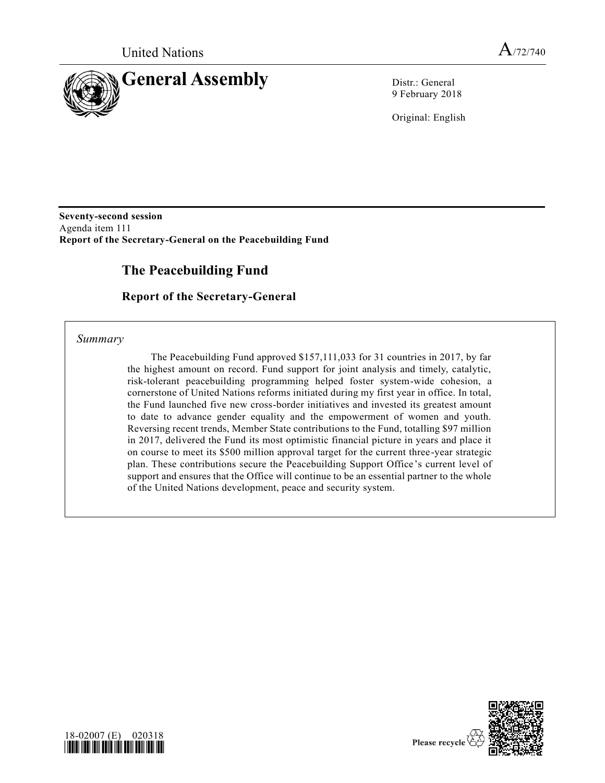

9 February 2018

Original: English

**Seventy-second session** Agenda item 111 **Report of the Secretary-General on the Peacebuilding Fund**

# **The Peacebuilding Fund**

**Report of the Secretary-General**

*Summary*

The Peacebuilding Fund approved \$157,111,033 for 31 countries in 2017, by far the highest amount on record. Fund support for joint analysis and timely, catalytic, risk-tolerant peacebuilding programming helped foster system-wide cohesion, a cornerstone of United Nations reforms initiated during my first year in office. In total, the Fund launched five new cross-border initiatives and invested its greatest amount to date to advance gender equality and the empowerment of women and youth. Reversing recent trends, Member State contributions to the Fund, totalling \$97 million in 2017, delivered the Fund its most optimistic financial picture in years and place it on course to meet its \$500 million approval target for the current three-year strategic plan. These contributions secure the Peacebuilding Support Office's current level of support and ensures that the Office will continue to be an essential partner to the whole of the United Nations development, peace and security system.



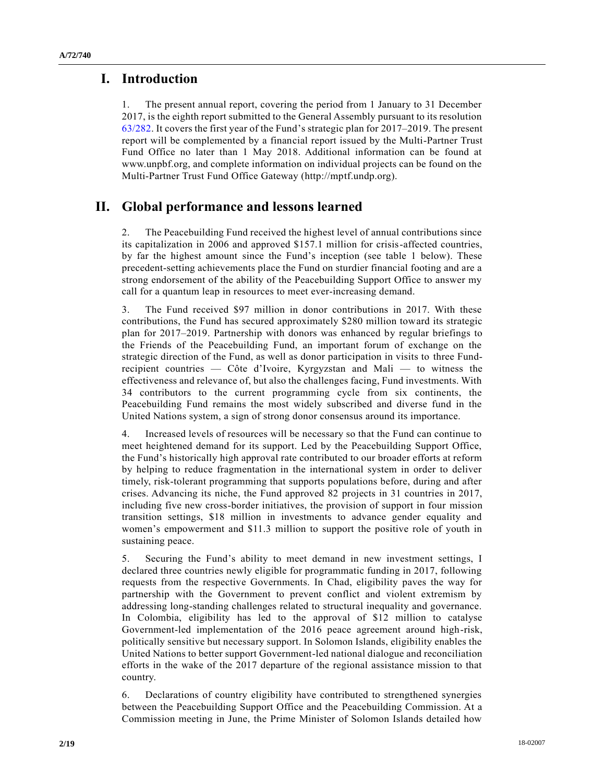## **I. Introduction**

1. The present annual report, covering the period from 1 January to 31 December 2017, is the eighth report submitted to the General Assembly pursuant to its resolution [63/282.](https://undocs.org/A/RES/63/282) It covers the first year of the Fund's strategic plan for 2017–2019. The present report will be complemented by a financial report issued by the Multi-Partner Trust Fund Office no later than 1 May 2018. Additional information can be found at www.unpbf.org, and complete information on individual projects can be found on the Multi-Partner Trust Fund Office Gateway (http://mptf.undp.org).

## **II. Global performance and lessons learned**

2. The Peacebuilding Fund received the highest level of annual contributions since its capitalization in 2006 and approved \$157.1 million for crisis-affected countries, by far the highest amount since the Fund's inception (see table 1 below). These precedent-setting achievements place the Fund on sturdier financial footing and are a strong endorsement of the ability of the Peacebuilding Support Office to answer my call for a quantum leap in resources to meet ever-increasing demand.

3. The Fund received \$97 million in donor contributions in 2017. With these contributions, the Fund has secured approximately \$280 million toward its strategic plan for 2017–2019. Partnership with donors was enhanced by regular briefings to the Friends of the Peacebuilding Fund, an important forum of exchange on the strategic direction of the Fund, as well as donor participation in visits to three Fundrecipient countries — Côte d'Ivoire, Kyrgyzstan and Mali — to witness the effectiveness and relevance of, but also the challenges facing, Fund investments. With 34 contributors to the current programming cycle from six continents, the Peacebuilding Fund remains the most widely subscribed and diverse fund in the United Nations system, a sign of strong donor consensus around its importance.

4. Increased levels of resources will be necessary so that the Fund can continue to meet heightened demand for its support. Led by the Peacebuilding Support Office, the Fund's historically high approval rate contributed to our broader efforts at reform by helping to reduce fragmentation in the international system in order to deliver timely, risk-tolerant programming that supports populations before, during and after crises. Advancing its niche, the Fund approved 82 projects in 31 countries in 2017, including five new cross-border initiatives, the provision of support in four mission transition settings, \$18 million in investments to advance gender equality and women's empowerment and \$11.3 million to support the positive role of youth in sustaining peace.

5. Securing the Fund's ability to meet demand in new investment settings, I declared three countries newly eligible for programmatic funding in 2017, following requests from the respective Governments. In Chad, eligibility paves the way for partnership with the Government to prevent conflict and violent extremism by addressing long-standing challenges related to structural inequality and governance. In Colombia, eligibility has led to the approval of \$12 million to catalyse Government-led implementation of the 2016 peace agreement around high-risk, politically sensitive but necessary support. In Solomon Islands, eligibility enables the United Nations to better support Government-led national dialogue and reconciliation efforts in the wake of the 2017 departure of the regional assistance mission to that country.

6. Declarations of country eligibility have contributed to strengthened synergies between the Peacebuilding Support Office and the Peacebuilding Commission. At a Commission meeting in June, the Prime Minister of Solomon Islands detailed how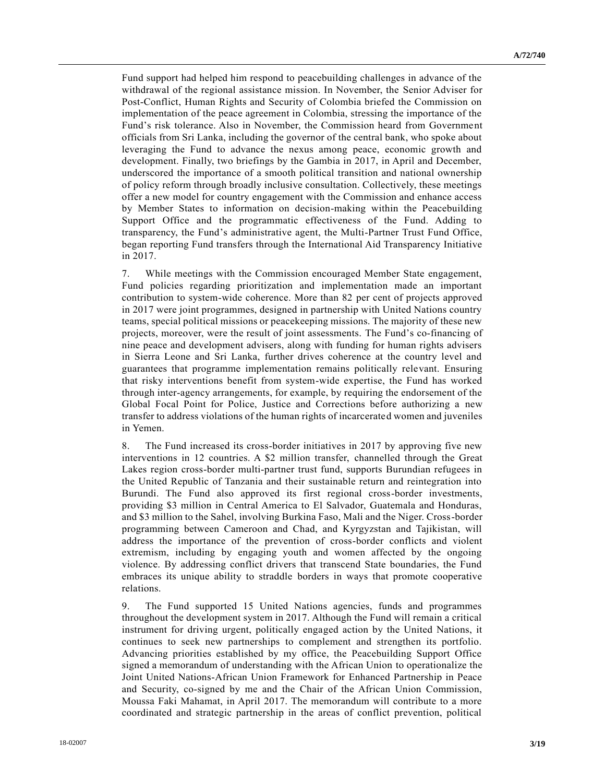Fund support had helped him respond to peacebuilding challenges in advance of the withdrawal of the regional assistance mission. In November, the Senior Adviser for Post-Conflict, Human Rights and Security of Colombia briefed the Commission on implementation of the peace agreement in Colombia, stressing the importance of the Fund's risk tolerance. Also in November, the Commission heard from Government officials from Sri Lanka, including the governor of the central bank, who spoke about leveraging the Fund to advance the nexus among peace, economic growth and development. Finally, two briefings by the Gambia in 2017, in April and December, underscored the importance of a smooth political transition and national ownership of policy reform through broadly inclusive consultation. Collectively, these meetings offer a new model for country engagement with the Commission and enhance access by Member States to information on decision-making within the Peacebuilding Support Office and the programmatic effectiveness of the Fund. Adding to transparency, the Fund's administrative agent, the Multi-Partner Trust Fund Office, began reporting Fund transfers through the International Aid Transparency Initiative in 2017.

7. While meetings with the Commission encouraged Member State engagement, Fund policies regarding prioritization and implementation made an important contribution to system-wide coherence. More than 82 per cent of projects approved in 2017 were joint programmes, designed in partnership with United Nations country teams, special political missions or peacekeeping missions. The majority of these new projects, moreover, were the result of joint assessments. The Fund's co-financing of nine peace and development advisers, along with funding for human rights advisers in Sierra Leone and Sri Lanka, further drives coherence at the country level and guarantees that programme implementation remains politically relevant. Ensuring that risky interventions benefit from system-wide expertise, the Fund has worked through inter-agency arrangements, for example, by requiring the endorsement of the Global Focal Point for Police, Justice and Corrections before authorizing a new transfer to address violations of the human rights of incarcerated women and juveniles in Yemen.

8. The Fund increased its cross-border initiatives in 2017 by approving five new interventions in 12 countries. A \$2 million transfer, channelled through the Great Lakes region cross-border multi-partner trust fund, supports Burundian refugees in the United Republic of Tanzania and their sustainable return and reintegration into Burundi. The Fund also approved its first regional cross-border investments, providing \$3 million in Central America to El Salvador, Guatemala and Honduras, and \$3 million to the Sahel, involving Burkina Faso, Mali and the Niger. Cross-border programming between Cameroon and Chad, and Kyrgyzstan and Tajikistan, will address the importance of the prevention of cross-border conflicts and violent extremism, including by engaging youth and women affected by the ongoing violence. By addressing conflict drivers that transcend State boundaries, the Fund embraces its unique ability to straddle borders in ways that promote cooperative relations.

9. The Fund supported 15 United Nations agencies, funds and programmes throughout the development system in 2017. Although the Fund will remain a critical instrument for driving urgent, politically engaged action by the United Nations, it continues to seek new partnerships to complement and strengthen its portfolio. Advancing priorities established by my office, the Peacebuilding Support Office signed a memorandum of understanding with the African Union to operationalize the Joint United Nations-African Union Framework for Enhanced Partnership in Peace and Security, co-signed by me and the Chair of the African Union Commission, Moussa Faki Mahamat, in April 2017. The memorandum will contribute to a more coordinated and strategic partnership in the areas of conflict prevention, political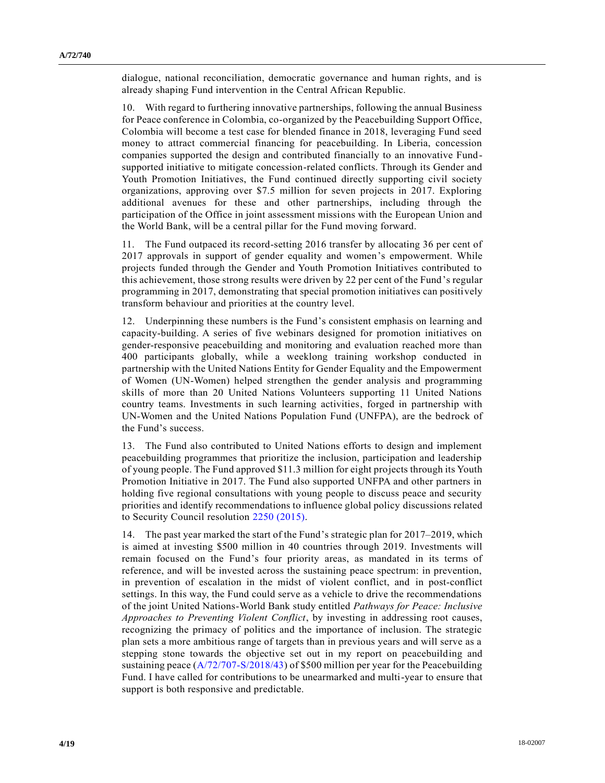dialogue, national reconciliation, democratic governance and human rights, and is already shaping Fund intervention in the Central African Republic.

10. With regard to furthering innovative partnerships, following the annual Business for Peace conference in Colombia, co-organized by the Peacebuilding Support Office, Colombia will become a test case for blended finance in 2018, leveraging Fund seed money to attract commercial financing for peacebuilding. In Liberia, concession companies supported the design and contributed financially to an innovative Fundsupported initiative to mitigate concession-related conflicts. Through its Gender and Youth Promotion Initiatives, the Fund continued directly supporting civil society organizations, approving over \$7.5 million for seven projects in 2017. Exploring additional avenues for these and other partnerships, including through the participation of the Office in joint assessment missions with the European Union and the World Bank, will be a central pillar for the Fund moving forward.

11. The Fund outpaced its record-setting 2016 transfer by allocating 36 per cent of 2017 approvals in support of gender equality and women's empowerment. While projects funded through the Gender and Youth Promotion Initiatives contributed to this achievement, those strong results were driven by 22 per cent of the Fund's regular programming in 2017, demonstrating that special promotion initiatives can positively transform behaviour and priorities at the country level.

12. Underpinning these numbers is the Fund's consistent emphasis on learning and capacity-building. A series of five webinars designed for promotion initiatives on gender-responsive peacebuilding and monitoring and evaluation reached more than 400 participants globally, while a weeklong training workshop conducted in partnership with the United Nations Entity for Gender Equality and the Empowerment of Women (UN-Women) helped strengthen the gender analysis and programming skills of more than 20 United Nations Volunteers supporting 11 United Nations country teams. Investments in such learning activities, forged in partnership with UN-Women and the United Nations Population Fund (UNFPA), are the bedrock of the Fund's success.

13. The Fund also contributed to United Nations efforts to design and implement peacebuilding programmes that prioritize the inclusion, participation and leadership of young people. The Fund approved \$11.3 million for eight projects through its Youth Promotion Initiative in 2017. The Fund also supported UNFPA and other partners in holding five regional consultations with young people to discuss peace and security priorities and identify recommendations to influence global policy discussions related to Security Council resolution [2250 \(2015\).](https://undocs.org/S/RES/2250(2015))

14. The past year marked the start of the Fund's strategic plan for 2017–2019, which is aimed at investing \$500 million in 40 countries through 2019. Investments will remain focused on the Fund's four priority areas, as mandated in its terms of reference, and will be invested across the sustaining peace spectrum: in prevention, in prevention of escalation in the midst of violent conflict, and in post-conflict settings. In this way, the Fund could serve as a vehicle to drive the recommendations of the joint United Nations-World Bank study entitled *Pathways for Peace: Inclusive Approaches to Preventing Violent Conflict*, by investing in addressing root causes, recognizing the primacy of politics and the importance of inclusion. The strategic plan sets a more ambitious range of targets than in previous years and will serve as a stepping stone towards the objective set out in my report on peacebuilding and sustaining peace [\(A/72/707-S/2018/43\)](https://undocs.org/A/72/707) of \$500 million per year for the Peacebuilding Fund. I have called for contributions to be unearmarked and multi-year to ensure that support is both responsive and predictable.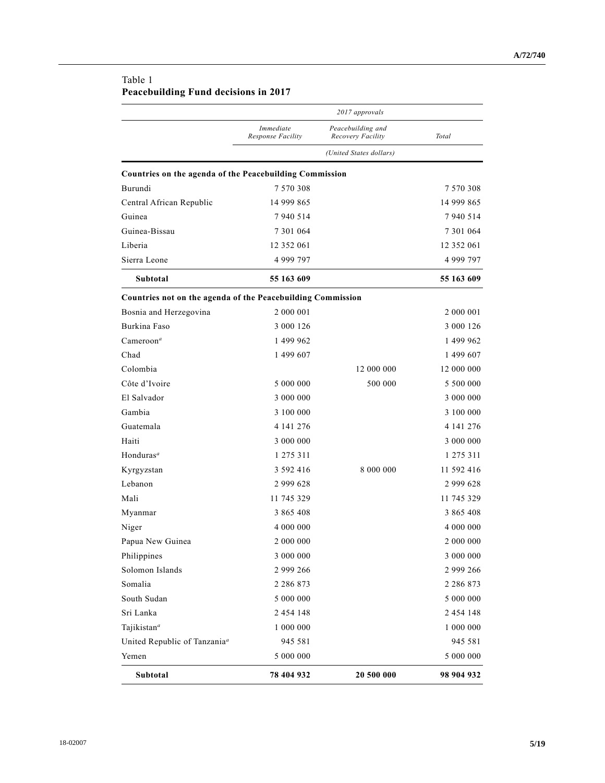| Table 1                              |  |
|--------------------------------------|--|
| Peacebuilding Fund decisions in 2017 |  |

|                                                             | 2017 approvals                 |                                        |               |
|-------------------------------------------------------------|--------------------------------|----------------------------------------|---------------|
|                                                             | Immediate<br>Response Facility | Peacebuilding and<br>Recovery Facility | Total         |
|                                                             |                                | (United States dollars)                |               |
| Countries on the agenda of the Peacebuilding Commission     |                                |                                        |               |
| Burundi                                                     | 7 570 308                      |                                        | 7 570 308     |
| Central African Republic                                    | 14 999 865                     |                                        | 14 999 865    |
| Guinea                                                      | 7 940 514                      |                                        | 7 940 514     |
| Guinea-Bissau                                               | 7 301 064                      |                                        | 7 301 064     |
| Liberia                                                     | 12 352 061                     |                                        | 12 352 061    |
| Sierra Leone                                                | 4 999 797                      |                                        | 4 999 797     |
| Subtotal                                                    | 55 163 609                     |                                        | 55 163 609    |
| Countries not on the agenda of the Peacebuilding Commission |                                |                                        |               |
| Bosnia and Herzegovina                                      | 2 000 001                      |                                        | 2 000 001     |
| Burkina Faso                                                | 3 000 126                      |                                        | 3 000 126     |
| $C$ ameroon <sup>a</sup>                                    | 1 499 962                      |                                        | 1 499 962     |
| Chad                                                        | 1 499 607                      |                                        | 1 499 607     |
| Colombia                                                    |                                | 12 000 000                             | 12 000 000    |
| Côte d'Ivoire                                               | 5 000 000                      | 500 000                                | 5 500 000     |
| El Salvador                                                 | 3 000 000                      |                                        | 3 000 000     |
| Gambia                                                      | 3 100 000                      |                                        | 3 100 000     |
| Guatemala                                                   | 4 141 276                      |                                        | 4 141 276     |
| Haiti                                                       | 3 000 000                      |                                        | 3 000 000     |
| Honduras <sup>a</sup>                                       | 1 275 311                      |                                        | 1 275 311     |
| Kyrgyzstan                                                  | 3 592 416                      | 8 000 000                              | 11 592 416    |
| Lebanon                                                     | 2 9 9 6 2 8                    |                                        | 2 999 628     |
| Mali                                                        | 11 745 329                     |                                        | 11 745 329    |
| Myanmar                                                     | 3 865 408                      |                                        | 3 865 408     |
| Niger                                                       | 4 000 000                      |                                        | 4 000 000     |
| Papua New Guinea                                            | 2 000 000                      |                                        | 2 000 000     |
| Philippines                                                 | 3 000 000                      |                                        | $3\ 000\ 000$ |
| Solomon Islands                                             | 2 999 266                      |                                        | 2 999 266     |
| Somalia                                                     | 2 2 8 6 8 7 3                  |                                        | 2 2 8 6 8 7 3 |
| South Sudan                                                 | 5 000 000                      |                                        | 5000000       |
| Sri Lanka                                                   | 2 454 148                      |                                        | 2 4 5 4 1 4 8 |
| Tajikistan <sup>a</sup>                                     | 1 000 000                      |                                        | 1 000 000     |
| United Republic of Tanzania <sup>a</sup>                    | 945 581                        |                                        | 945 581       |
| Yemen                                                       | 5 000 000                      |                                        | 5 000 000     |
| Subtotal                                                    | 78 404 932                     | 20 500 000                             | 98 904 932    |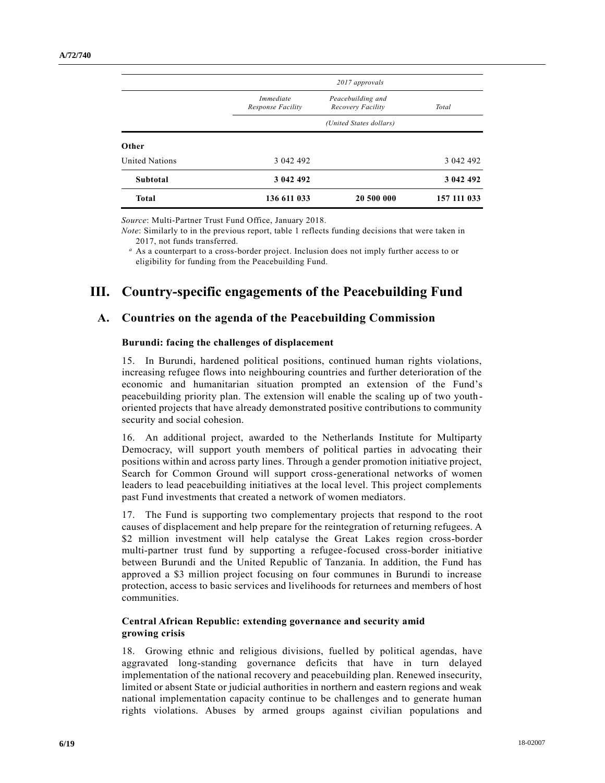|                       | 2017 approvals                        |                                        |             |
|-----------------------|---------------------------------------|----------------------------------------|-------------|
|                       | <i>Immediate</i><br>Response Facility | Peacebuilding and<br>Recovery Facility | Total       |
|                       | (United States dollars)               |                                        |             |
| Other                 |                                       |                                        |             |
| <b>United Nations</b> | 3 042 492                             |                                        | 3 042 492   |
| Subtotal              | 3 042 492                             |                                        | 3 042 492   |
| <b>Total</b>          | 136 611 033                           | 20 500 000                             | 157 111 033 |

*Source*: Multi-Partner Trust Fund Office, January 2018.

*Note*: Similarly to in the previous report, table 1 reflects funding decisions that were taken in 2017, not funds transferred.

*<sup>a</sup>* As a counterpart to a cross-border project. Inclusion does not imply further access to or eligibility for funding from the Peacebuilding Fund.

# **III. Country-specific engagements of the Peacebuilding Fund**

## **A. Countries on the agenda of the Peacebuilding Commission**

#### **Burundi: facing the challenges of displacement**

15. In Burundi, hardened political positions, continued human rights violations, increasing refugee flows into neighbouring countries and further deterioration of the economic and humanitarian situation prompted an extension of the Fund's peacebuilding priority plan. The extension will enable the scaling up of two youthoriented projects that have already demonstrated positive contributions to community security and social cohesion.

16. An additional project, awarded to the Netherlands Institute for Multiparty Democracy, will support youth members of political parties in advocating their positions within and across party lines. Through a gender promotion initiative project, Search for Common Ground will support cross-generational networks of women leaders to lead peacebuilding initiatives at the local level. This project complements past Fund investments that created a network of women mediators.

17. The Fund is supporting two complementary projects that respond to the root causes of displacement and help prepare for the reintegration of returning refugees. A \$2 million investment will help catalyse the Great Lakes region cross-border multi-partner trust fund by supporting a refugee-focused cross-border initiative between Burundi and the United Republic of Tanzania. In addition, the Fund has approved a \$3 million project focusing on four communes in Burundi to increase protection, access to basic services and livelihoods for returnees and members of host communities.

#### **Central African Republic: extending governance and security amid growing crisis**

18. Growing ethnic and religious divisions, fuelled by political agendas, have aggravated long-standing governance deficits that have in turn delayed implementation of the national recovery and peacebuilding plan. Renewed insecurity, limited or absent State or judicial authorities in northern and eastern regions and weak national implementation capacity continue to be challenges and to generate human rights violations. Abuses by armed groups against civilian populations and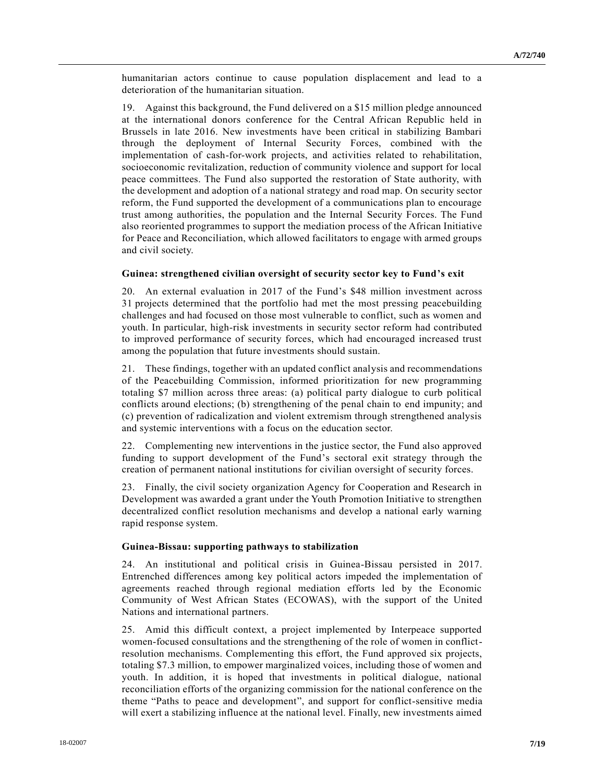humanitarian actors continue to cause population displacement and lead to a deterioration of the humanitarian situation.

19. Against this background, the Fund delivered on a \$15 million pledge announced at the international donors conference for the Central African Republic held in Brussels in late 2016. New investments have been critical in stabilizing Bambari through the deployment of Internal Security Forces, combined with the implementation of cash-for-work projects, and activities related to rehabilitation, socioeconomic revitalization, reduction of community violence and support for local peace committees. The Fund also supported the restoration of State authority, with the development and adoption of a national strategy and road map. On security sector reform, the Fund supported the development of a communications plan to encourage trust among authorities, the population and the Internal Security Forces. The Fund also reoriented programmes to support the mediation process of the African Initiative for Peace and Reconciliation, which allowed facilitators to engage with armed groups and civil society.

#### **Guinea: strengthened civilian oversight of security sector key to Fund's exit**

20. An external evaluation in 2017 of the Fund's \$48 million investment across 31 projects determined that the portfolio had met the most pressing peacebuilding challenges and had focused on those most vulnerable to conflict, such as women and youth. In particular, high-risk investments in security sector reform had contributed to improved performance of security forces, which had encouraged increased trust among the population that future investments should sustain.

21. These findings, together with an updated conflict analysis and recommendations of the Peacebuilding Commission, informed prioritization for new programming totaling \$7 million across three areas: (a) political party dialogue to curb political conflicts around elections; (b) strengthening of the penal chain to end impunity; and (c) prevention of radicalization and violent extremism through strengthened analysis and systemic interventions with a focus on the education sector.

22. Complementing new interventions in the justice sector, the Fund also approved funding to support development of the Fund's sectoral exit strategy through the creation of permanent national institutions for civilian oversight of security forces.

23. Finally, the civil society organization Agency for Cooperation and Research in Development was awarded a grant under the Youth Promotion Initiative to strengthen decentralized conflict resolution mechanisms and develop a national early warning rapid response system.

#### **Guinea-Bissau: supporting pathways to stabilization**

24. An institutional and political crisis in Guinea-Bissau persisted in 2017. Entrenched differences among key political actors impeded the implementation of agreements reached through regional mediation efforts led by the Economic Community of West African States (ECOWAS), with the support of the United Nations and international partners.

25. Amid this difficult context, a project implemented by Interpeace supported women-focused consultations and the strengthening of the role of women in conflictresolution mechanisms. Complementing this effort, the Fund approved six projects, totaling \$7.3 million, to empower marginalized voices, including those of women and youth. In addition, it is hoped that investments in political dialogue, national reconciliation efforts of the organizing commission for the national conference on the theme "Paths to peace and development", and support for conflict-sensitive media will exert a stabilizing influence at the national level. Finally, new investments aimed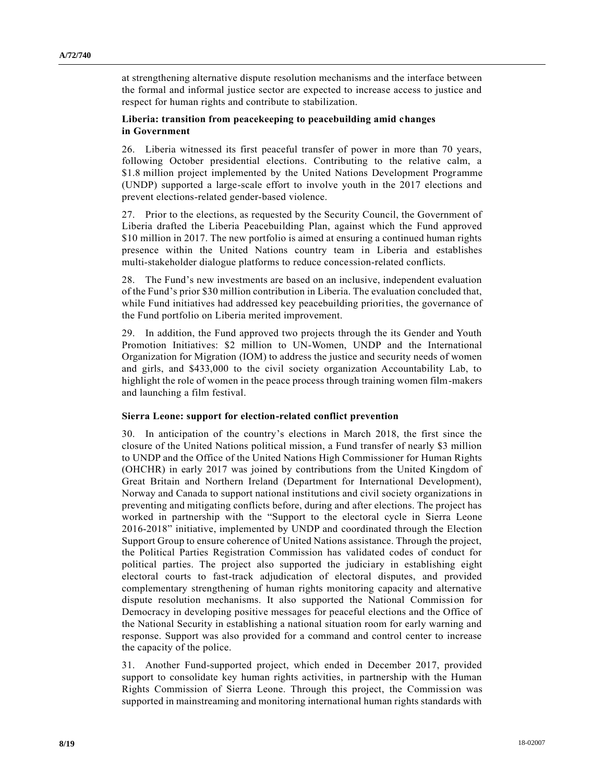at strengthening alternative dispute resolution mechanisms and the interface between the formal and informal justice sector are expected to increase access to justice and respect for human rights and contribute to stabilization.

#### **Liberia: transition from peacekeeping to peacebuilding amid changes in Government**

26. Liberia witnessed its first peaceful transfer of power in more than 70 years, following October presidential elections. Contributing to the relative calm, a \$1.8 million project implemented by the United Nations Development Programme (UNDP) supported a large-scale effort to involve youth in the 2017 elections and prevent elections-related gender-based violence.

27. Prior to the elections, as requested by the Security Council, the Government of Liberia drafted the Liberia Peacebuilding Plan, against which the Fund approved \$10 million in 2017. The new portfolio is aimed at ensuring a continued human rights presence within the United Nations country team in Liberia and establishes multi-stakeholder dialogue platforms to reduce concession-related conflicts.

28. The Fund's new investments are based on an inclusive, independent evaluation of the Fund's prior \$30 million contribution in Liberia. The evaluation concluded that, while Fund initiatives had addressed key peacebuilding priorities, the governance of the Fund portfolio on Liberia merited improvement.

29. In addition, the Fund approved two projects through the its Gender and Youth Promotion Initiatives: \$2 million to UN-Women, UNDP and the International Organization for Migration (IOM) to address the justice and security needs of women and girls, and \$433,000 to the civil society organization Accountability Lab, to highlight the role of women in the peace process through training women film-makers and launching a film festival.

#### **Sierra Leone: support for election-related conflict prevention**

30. In anticipation of the country's elections in March 2018, the first since the closure of the United Nations political mission, a Fund transfer of nearly \$3 million to UNDP and the Office of the United Nations High Commissioner for Human Rights (OHCHR) in early 2017 was joined by contributions from the United Kingdom of Great Britain and Northern Ireland (Department for International Development), Norway and Canada to support national institutions and civil society organizations in preventing and mitigating conflicts before, during and after elections. The project has worked in partnership with the "Support to the electoral cycle in Sierra Leone 2016-2018" initiative, implemented by UNDP and coordinated through the Election Support Group to ensure coherence of United Nations assistance. Through the project, the Political Parties Registration Commission has validated codes of conduct for political parties. The project also supported the judiciary in establishing eight electoral courts to fast-track adjudication of electoral disputes, and provided complementary strengthening of human rights monitoring capacity and alternative dispute resolution mechanisms. It also supported the National Commission for Democracy in developing positive messages for peaceful elections and the Office of the National Security in establishing a national situation room for early warning and response. Support was also provided for a command and control center to increase the capacity of the police.

31. Another Fund-supported project, which ended in December 2017, provided support to consolidate key human rights activities, in partnership with the Human Rights Commission of Sierra Leone. Through this project, the Commission was supported in mainstreaming and monitoring international human rights standards with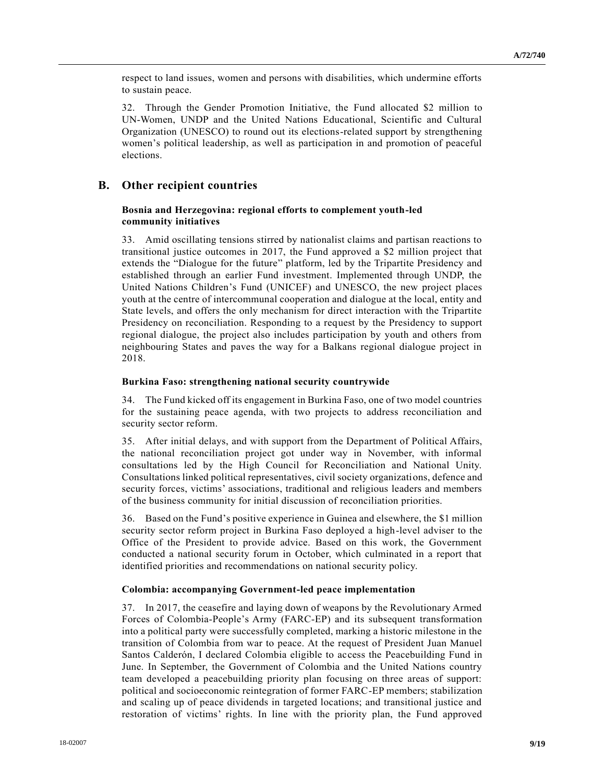respect to land issues, women and persons with disabilities, which undermine efforts to sustain peace.

32. Through the Gender Promotion Initiative, the Fund allocated \$2 million to UN-Women, UNDP and the United Nations Educational, Scientific and Cultural Organization (UNESCO) to round out its elections-related support by strengthening women's political leadership, as well as participation in and promotion of peaceful elections.

## **B. Other recipient countries**

#### **Bosnia and Herzegovina: regional efforts to complement youth-led community initiatives**

33. Amid oscillating tensions stirred by nationalist claims and partisan reactions to transitional justice outcomes in 2017, the Fund approved a \$2 million project that extends the "Dialogue for the future" platform, led by the Tripartite Presidency and established through an earlier Fund investment. Implemented through UNDP, the United Nations Children's Fund (UNICEF) and UNESCO, the new project places youth at the centre of intercommunal cooperation and dialogue at the local, entity and State levels, and offers the only mechanism for direct interaction with the Tripartite Presidency on reconciliation. Responding to a request by the Presidency to support regional dialogue, the project also includes participation by youth and others from neighbouring States and paves the way for a Balkans regional dialogue project in 2018.

#### **Burkina Faso: strengthening national security countrywide**

34. The Fund kicked off its engagement in Burkina Faso, one of two model countries for the sustaining peace agenda, with two projects to address reconciliation and security sector reform.

35. After initial delays, and with support from the Department of Political Affairs, the national reconciliation project got under way in November, with informal consultations led by the High Council for Reconciliation and National Unity. Consultations linked political representatives, civil society organizations, defence and security forces, victims' associations, traditional and religious leaders and members of the business community for initial discussion of reconciliation priorities.

36. Based on the Fund's positive experience in Guinea and elsewhere, the \$1 million security sector reform project in Burkina Faso deployed a high-level adviser to the Office of the President to provide advice. Based on this work, the Government conducted a national security forum in October, which culminated in a report that identified priorities and recommendations on national security policy.

#### **Colombia: accompanying Government-led peace implementation**

37. In 2017, the ceasefire and laying down of weapons by the Revolutionary Armed Forces of Colombia-People's Army (FARC-EP) and its subsequent transformation into a political party were successfully completed, marking a historic milestone in the transition of Colombia from war to peace. At the request of President Juan Manuel Santos Calderón, I declared Colombia eligible to access the Peacebuilding Fund in June. In September, the Government of Colombia and the United Nations country team developed a peacebuilding priority plan focusing on three areas of support: political and socioeconomic reintegration of former FARC-EP members; stabilization and scaling up of peace dividends in targeted locations; and transitional justice and restoration of victims' rights. In line with the priority plan, the Fund approved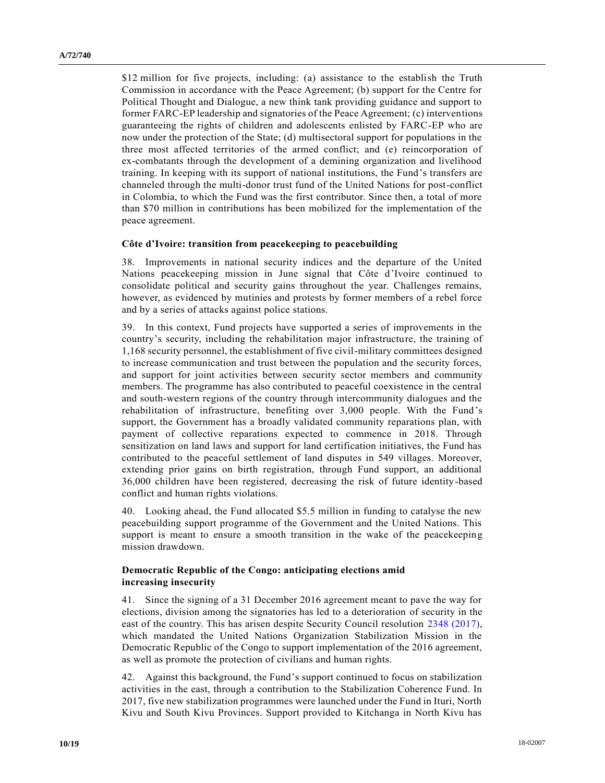\$12 million for five projects, including: (a) assistance to the establish the Truth Commission in accordance with the Peace Agreement; (b) support for the Centre for Political Thought and Dialogue, a new think tank providing guidance and support to former FARC-EP leadership and signatories of the Peace Agreement; (c) interventions guaranteeing the rights of children and adolescents enlisted by FARC-EP who are now under the protection of the State; (d) multisectoral support for populations in the three most affected territories of the armed conflict; and (e) reincorporation of ex-combatants through the development of a demining organization and livelihood training. In keeping with its support of national institutions, the Fund's transfers are channeled through the multi-donor trust fund of the United Nations for post-conflict in Colombia, to which the Fund was the first contributor. Since then, a total of more than \$70 million in contributions has been mobilized for the implementation of the peace agreement.

#### **Côte d'Ivoire: transition from peacekeeping to peacebuilding**

38. Improvements in national security indices and the departure of the United Nations peacekeeping mission in June signal that Côte d'Ivoire continued to consolidate political and security gains throughout the year. Challenges remains, however, as evidenced by mutinies and protests by former members of a rebel force and by a series of attacks against police stations.

39. In this context, Fund projects have supported a series of improvements in the country's security, including the rehabilitation major infrastructure, the training of 1,168 security personnel, the establishment of five civil-military committees designed to increase communication and trust between the population and the security forces, and support for joint activities between security sector members and community members. The programme has also contributed to peaceful coexistence in the central and south-western regions of the country through intercommunity dialogues and the rehabilitation of infrastructure, benefiting over 3,000 people. With the Fund's support, the Government has a broadly validated community reparations plan, with payment of collective reparations expected to commence in 2018. Through sensitization on land laws and support for land certification initiatives, the Fund has contributed to the peaceful settlement of land disputes in 549 villages. Moreover, extending prior gains on birth registration, through Fund support, an additional 36,000 children have been registered, decreasing the risk of future identity-based conflict and human rights violations.

40. Looking ahead, the Fund allocated \$5.5 million in funding to catalyse the new peacebuilding support programme of the Government and the United Nations. This support is meant to ensure a smooth transition in the wake of the peacekeeping mission drawdown.

#### **Democratic Republic of the Congo: anticipating elections amid increasing insecurity**

41. Since the signing of a 31 December 2016 agreement meant to pave the way for elections, division among the signatories has led to a deterioration of security in the east of the country. This has arisen despite Security Council resolution [2348 \(2017\),](https://undocs.org/S/RES/2348(2017)) which mandated the United Nations Organization Stabilization Mission in the Democratic Republic of the Congo to support implementation of the 2016 agreement, as well as promote the protection of civilians and human rights.

42. Against this background, the Fund's support continued to focus on stabilization activities in the east, through a contribution to the Stabilization Coherence Fund. In 2017, five new stabilization programmes were launched under the Fund in Ituri, North Kivu and South Kivu Provinces. Support provided to Kitchanga in North Kivu has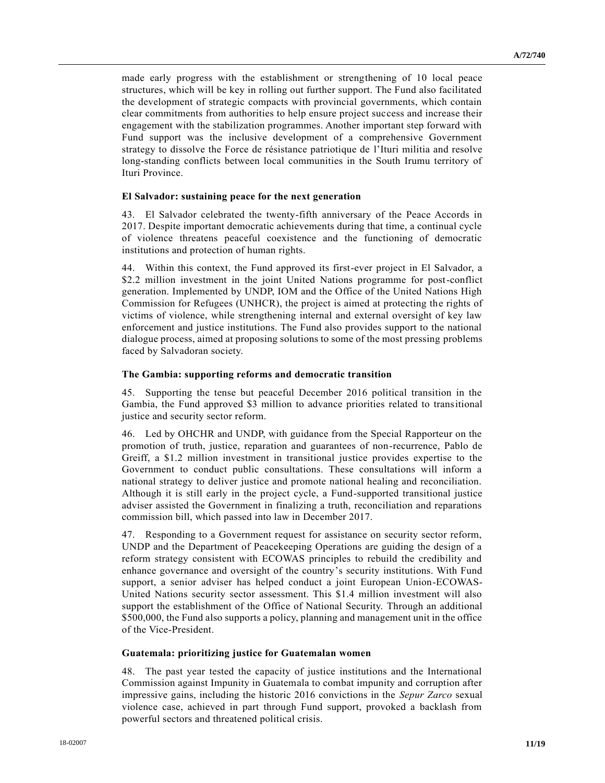made early progress with the establishment or strengthening of 10 local peace structures, which will be key in rolling out further support. The Fund also facilitated the development of strategic compacts with provincial governments, which contain clear commitments from authorities to help ensure project success and increase their engagement with the stabilization programmes. Another important step forward with Fund support was the inclusive development of a comprehensive Government strategy to dissolve the Force de résistance patriotique de l'Ituri militia and resolve long-standing conflicts between local communities in the South Irumu territory of Ituri Province.

#### **El Salvador: sustaining peace for the next generation**

43. El Salvador celebrated the twenty-fifth anniversary of the Peace Accords in 2017. Despite important democratic achievements during that time, a continual cycle of violence threatens peaceful coexistence and the functioning of democratic institutions and protection of human rights.

44. Within this context, the Fund approved its first-ever project in El Salvador, a \$2.2 million investment in the joint United Nations programme for post-conflict generation. Implemented by UNDP, IOM and the Office of the United Nations High Commission for Refugees (UNHCR), the project is aimed at protecting the rights of victims of violence, while strengthening internal and external oversight of key law enforcement and justice institutions. The Fund also provides support to the national dialogue process, aimed at proposing solutions to some of the most pressing problems faced by Salvadoran society.

#### **The Gambia: supporting reforms and democratic transition**

45. Supporting the tense but peaceful December 2016 political transition in the Gambia, the Fund approved \$3 million to advance priorities related to transitional justice and security sector reform.

46. Led by OHCHR and UNDP, with guidance from the Special Rapporteur on the promotion of truth, justice, reparation and guarantees of non-recurrence, Pablo de Greiff, a \$1.2 million investment in transitional justice provides expertise to the Government to conduct public consultations. These consultations will inform a national strategy to deliver justice and promote national healing and reconciliation. Although it is still early in the project cycle, a Fund-supported transitional justice adviser assisted the Government in finalizing a truth, reconciliation and reparations commission bill, which passed into law in December 2017.

47. Responding to a Government request for assistance on security sector reform, UNDP and the Department of Peacekeeping Operations are guiding the design of a reform strategy consistent with ECOWAS principles to rebuild the credibility and enhance governance and oversight of the country's security institutions. With Fund support, a senior adviser has helped conduct a joint European Union-ECOWAS-United Nations security sector assessment. This \$1.4 million investment will also support the establishment of the Office of National Security. Through an additional \$500,000, the Fund also supports a policy, planning and management unit in the office of the Vice-President.

#### **Guatemala: prioritizing justice for Guatemalan women**

48. The past year tested the capacity of justice institutions and the International Commission against Impunity in Guatemala to combat impunity and corruption after impressive gains, including the historic 2016 convictions in the *Sepur Zarco* sexual violence case, achieved in part through Fund support, provoked a backlash from powerful sectors and threatened political crisis.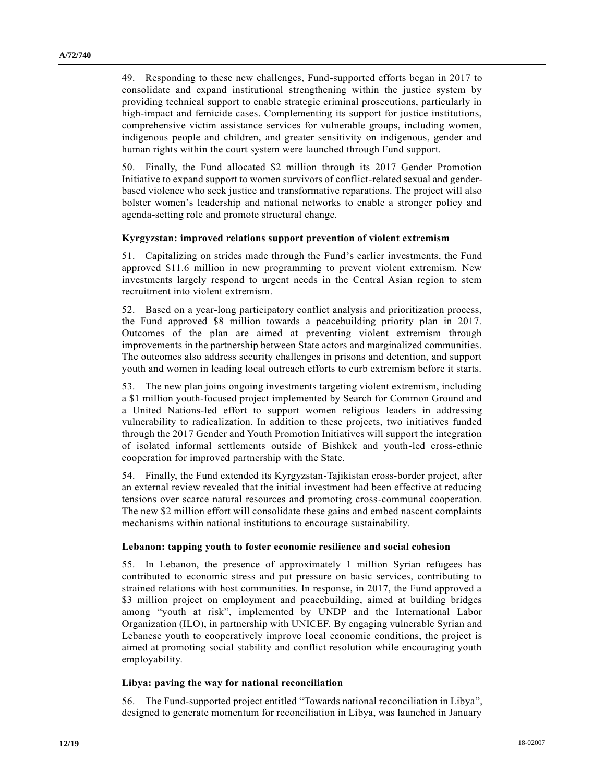49. Responding to these new challenges, Fund-supported efforts began in 2017 to consolidate and expand institutional strengthening within the justice system by providing technical support to enable strategic criminal prosecutions, particularly in high-impact and femicide cases. Complementing its support for justice institutions, comprehensive victim assistance services for vulnerable groups, including women, indigenous people and children, and greater sensitivity on indigenous, gender and human rights within the court system were launched through Fund support.

50. Finally, the Fund allocated \$2 million through its 2017 Gender Promotion Initiative to expand support to women survivors of conflict-related sexual and genderbased violence who seek justice and transformative reparations. The project will also bolster women's leadership and national networks to enable a stronger policy and agenda-setting role and promote structural change.

#### **Kyrgyzstan: improved relations support prevention of violent extremism**

51. Capitalizing on strides made through the Fund's earlier investments, the Fund approved \$11.6 million in new programming to prevent violent extremism. New investments largely respond to urgent needs in the Central Asian region to stem recruitment into violent extremism.

52. Based on a year-long participatory conflict analysis and prioritization process, the Fund approved \$8 million towards a peacebuilding priority plan in 2017. Outcomes of the plan are aimed at preventing violent extremism through improvements in the partnership between State actors and marginalized communities. The outcomes also address security challenges in prisons and detention, and support youth and women in leading local outreach efforts to curb extremism before it starts.

53. The new plan joins ongoing investments targeting violent extremism, including a \$1 million youth-focused project implemented by Search for Common Ground and a United Nations-led effort to support women religious leaders in addressing vulnerability to radicalization. In addition to these projects, two initiatives funded through the 2017 Gender and Youth Promotion Initiatives will support the integration of isolated informal settlements outside of Bishkek and youth-led cross-ethnic cooperation for improved partnership with the State.

54. Finally, the Fund extended its Kyrgyzstan-Tajikistan cross-border project, after an external review revealed that the initial investment had been effective at reducing tensions over scarce natural resources and promoting cross-communal cooperation. The new \$2 million effort will consolidate these gains and embed nascent complaints mechanisms within national institutions to encourage sustainability.

#### **Lebanon: tapping youth to foster economic resilience and social cohesion**

55. In Lebanon, the presence of approximately 1 million Syrian refugees has contributed to economic stress and put pressure on basic services, contributing to strained relations with host communities. In response, in 2017, the Fund approved a \$3 million project on employment and peacebuilding, aimed at building bridges among "youth at risk", implemented by UNDP and the International Labor Organization (ILO), in partnership with UNICEF. By engaging vulnerable Syrian and Lebanese youth to cooperatively improve local economic conditions, the project is aimed at promoting social stability and conflict resolution while encouraging youth employability.

#### **Libya: paving the way for national reconciliation**

56. The Fund-supported project entitled "Towards national reconciliation in Libya", designed to generate momentum for reconciliation in Libya, was launched in January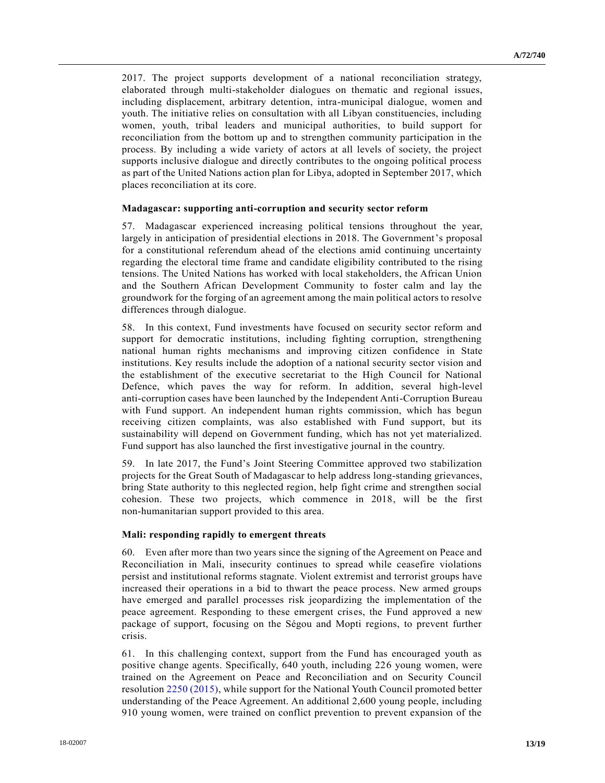2017. The project supports development of a national reconciliation strategy, elaborated through multi-stakeholder dialogues on thematic and regional issues, including displacement, arbitrary detention, intra-municipal dialogue, women and youth. The initiative relies on consultation with all Libyan constituencies, including women, youth, tribal leaders and municipal authorities, to build support for reconciliation from the bottom up and to strengthen community participation in the process. By including a wide variety of actors at all levels of society, the project supports inclusive dialogue and directly contributes to the ongoing political process as part of the United Nations action plan for Libya, adopted in September 2017, which places reconciliation at its core.

#### **Madagascar: supporting anti-corruption and security sector reform**

57. Madagascar experienced increasing political tensions throughout the year, largely in anticipation of presidential elections in 2018. The Government's proposal for a constitutional referendum ahead of the elections amid continuing uncertainty regarding the electoral time frame and candidate eligibility contributed to the rising tensions. The United Nations has worked with local stakeholders, the African Union and the Southern African Development Community to foster calm and lay the groundwork for the forging of an agreement among the main political actors to resolve differences through dialogue.

58. In this context, Fund investments have focused on security sector reform and support for democratic institutions, including fighting corruption, strengthening national human rights mechanisms and improving citizen confidence in State institutions. Key results include the adoption of a national security sector vision and the establishment of the executive secretariat to the High Council for National Defence, which paves the way for reform. In addition, several high-level anti-corruption cases have been launched by the Independent Anti-Corruption Bureau with Fund support. An independent human rights commission, which has begun receiving citizen complaints, was also established with Fund support, but its sustainability will depend on Government funding, which has not yet materialized. Fund support has also launched the first investigative journal in the country.

59. In late 2017, the Fund's Joint Steering Committee approved two stabilization projects for the Great South of Madagascar to help address long-standing grievances, bring State authority to this neglected region, help fight crime and strengthen social cohesion. These two projects, which commence in 2018, will be the first non-humanitarian support provided to this area.

#### **Mali: responding rapidly to emergent threats**

60. Even after more than two years since the signing of the Agreement on Peace and Reconciliation in Mali, insecurity continues to spread while ceasefire violations persist and institutional reforms stagnate. Violent extremist and terrorist groups have increased their operations in a bid to thwart the peace process. New armed groups have emerged and parallel processes risk jeopardizing the implementation of the peace agreement. Responding to these emergent crises, the Fund approved a new package of support, focusing on the Ségou and Mopti regions, to prevent further crisis.

61. In this challenging context, support from the Fund has encouraged youth as positive change agents. Specifically, 640 youth, including 226 young women, were trained on the Agreement on Peace and Reconciliation and on Security Council resolution [2250 \(2015\),](https://undocs.org/S/RES/2250(2015)) while support for the National Youth Council promoted better understanding of the Peace Agreement. An additional 2,600 young people, including 910 young women, were trained on conflict prevention to prevent expansion of the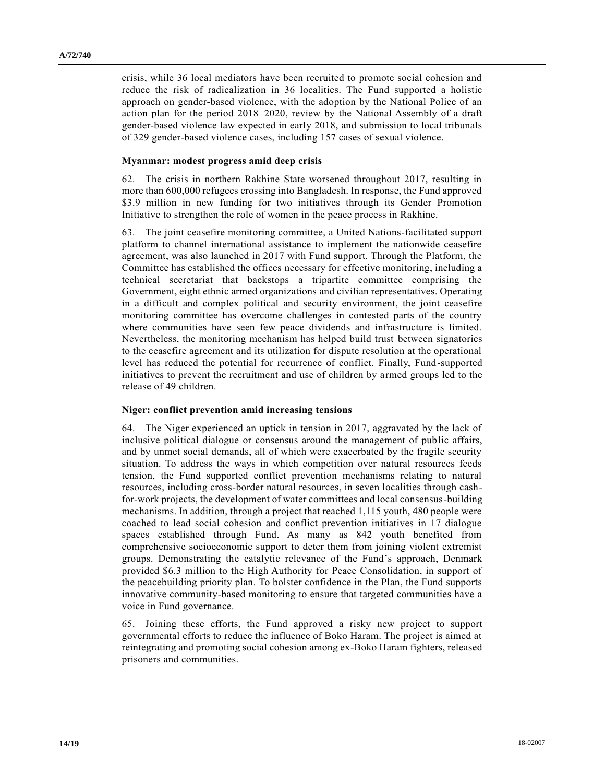crisis, while 36 local mediators have been recruited to promote social cohesion and reduce the risk of radicalization in 36 localities. The Fund supported a holistic approach on gender-based violence, with the adoption by the National Police of an action plan for the period 2018–2020, review by the National Assembly of a draft gender-based violence law expected in early 2018, and submission to local tribunals of 329 gender-based violence cases, including 157 cases of sexual violence.

#### **Myanmar: modest progress amid deep crisis**

62. The crisis in northern Rakhine State worsened throughout 2017, resulting in more than 600,000 refugees crossing into Bangladesh. In response, the Fund approved \$3.9 million in new funding for two initiatives through its Gender Promotion Initiative to strengthen the role of women in the peace process in Rakhine.

63. The joint ceasefire monitoring committee, a United Nations-facilitated support platform to channel international assistance to implement the nationwide ceasefire agreement, was also launched in 2017 with Fund support. Through the Platform, the Committee has established the offices necessary for effective monitoring, including a technical secretariat that backstops a tripartite committee comprising the Government, eight ethnic armed organizations and civilian representatives. Operating in a difficult and complex political and security environment, the joint ceasefire monitoring committee has overcome challenges in contested parts of the country where communities have seen few peace dividends and infrastructure is limited. Nevertheless, the monitoring mechanism has helped build trust between signatories to the ceasefire agreement and its utilization for dispute resolution at the operational level has reduced the potential for recurrence of conflict. Finally, Fund-supported initiatives to prevent the recruitment and use of children by armed groups led to the release of 49 children.

#### **Niger: conflict prevention amid increasing tensions**

64. The Niger experienced an uptick in tension in 2017, aggravated by the lack of inclusive political dialogue or consensus around the management of public affairs, and by unmet social demands, all of which were exacerbated by the fragile security situation. To address the ways in which competition over natural resources feeds tension, the Fund supported conflict prevention mechanisms relating to natural resources, including cross-border natural resources, in seven localities through cashfor-work projects, the development of water committees and local consensus-building mechanisms. In addition, through a project that reached 1,115 youth, 480 people were coached to lead social cohesion and conflict prevention initiatives in 17 dialogue spaces established through Fund. As many as 842 youth benefited from comprehensive socioeconomic support to deter them from joining violent extremist groups. Demonstrating the catalytic relevance of the Fund's approach, Denmark provided \$6.3 million to the High Authority for Peace Consolidation, in support of the peacebuilding priority plan. To bolster confidence in the Plan, the Fund supports innovative community-based monitoring to ensure that targeted communities have a voice in Fund governance.

65. Joining these efforts, the Fund approved a risky new project to support governmental efforts to reduce the influence of Boko Haram. The project is aimed at reintegrating and promoting social cohesion among ex-Boko Haram fighters, released prisoners and communities.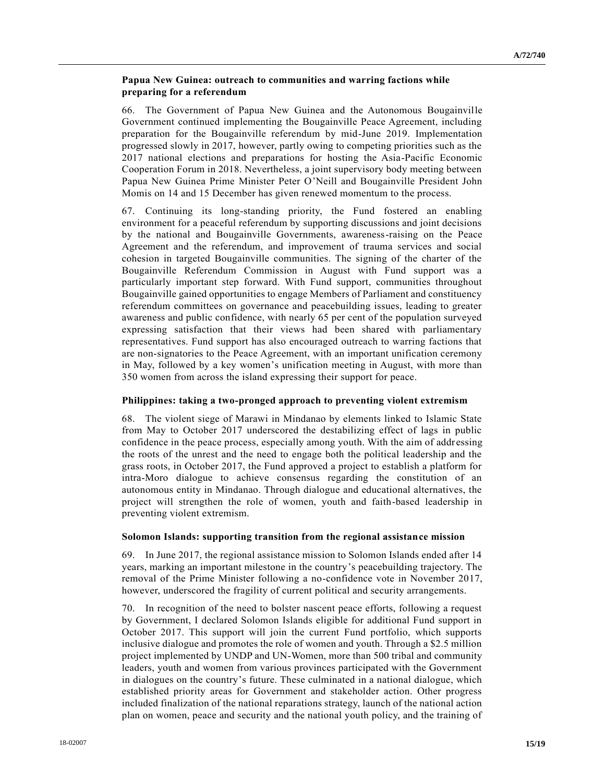#### **Papua New Guinea: outreach to communities and warring factions while preparing for a referendum**

66. The Government of Papua New Guinea and the Autonomous Bougainville Government continued implementing the Bougainville Peace Agreement, including preparation for the Bougainville referendum by mid-June 2019. Implementation progressed slowly in 2017, however, partly owing to competing priorities such as the 2017 national elections and preparations for hosting the Asia-Pacific Economic Cooperation Forum in 2018. Nevertheless, a joint supervisory body meeting between Papua New Guinea Prime Minister Peter O'Neill and Bougainville President John Momis on 14 and 15 December has given renewed momentum to the process.

67. Continuing its long-standing priority, the Fund fostered an enabling environment for a peaceful referendum by supporting discussions and joint decisions by the national and Bougainville Governments, awareness-raising on the Peace Agreement and the referendum, and improvement of trauma services and social cohesion in targeted Bougainville communities. The signing of the charter of the Bougainville Referendum Commission in August with Fund support was a particularly important step forward. With Fund support, communities throughout Bougainville gained opportunities to engage Members of Parliament and constituency referendum committees on governance and peacebuilding issues, leading to greater awareness and public confidence, with nearly 65 per cent of the population surveyed expressing satisfaction that their views had been shared with parliamentary representatives. Fund support has also encouraged outreach to warring factions that are non-signatories to the Peace Agreement, with an important unification ceremony in May, followed by a key women's unification meeting in August, with more than 350 women from across the island expressing their support for peace.

#### **Philippines: taking a two-pronged approach to preventing violent extremism**

68. The violent siege of Marawi in Mindanao by elements linked to Islamic State from May to October 2017 underscored the destabilizing effect of lags in public confidence in the peace process, especially among youth. With the aim of addressing the roots of the unrest and the need to engage both the political leadership and the grass roots, in October 2017, the Fund approved a project to establish a platform for intra-Moro dialogue to achieve consensus regarding the constitution of an autonomous entity in Mindanao. Through dialogue and educational alternatives, the project will strengthen the role of women, youth and faith-based leadership in preventing violent extremism.

#### **Solomon Islands: supporting transition from the regional assistance mission**

69. In June 2017, the regional assistance mission to Solomon Islands ended after 14 years, marking an important milestone in the country's peacebuilding trajectory. The removal of the Prime Minister following a no-confidence vote in November 2017, however, underscored the fragility of current political and security arrangements.

70. In recognition of the need to bolster nascent peace efforts, following a request by Government, I declared Solomon Islands eligible for additional Fund support in October 2017. This support will join the current Fund portfolio, which supports inclusive dialogue and promotes the role of women and youth. Through a \$2.5 million project implemented by UNDP and UN-Women, more than 500 tribal and community leaders, youth and women from various provinces participated with the Government in dialogues on the country's future. These culminated in a national dialogue, which established priority areas for Government and stakeholder action. Other progress included finalization of the national reparations strategy, launch of the national action plan on women, peace and security and the national youth policy, and the training of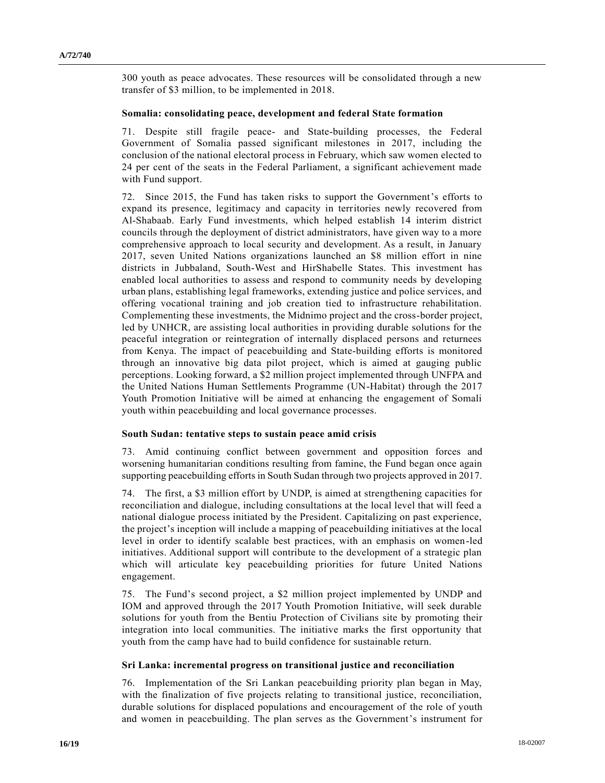300 youth as peace advocates. These resources will be consolidated through a new transfer of \$3 million, to be implemented in 2018.

#### **Somalia: consolidating peace, development and federal State formation**

71. Despite still fragile peace- and State-building processes, the Federal Government of Somalia passed significant milestones in 2017, including the conclusion of the national electoral process in February, which saw women elected to 24 per cent of the seats in the Federal Parliament, a significant achievement made with Fund support.

72. Since 2015, the Fund has taken risks to support the Government's efforts to expand its presence, legitimacy and capacity in territories newly recovered from Al-Shabaab. Early Fund investments, which helped establish 14 interim district councils through the deployment of district administrators, have given way to a more comprehensive approach to local security and development. As a result, in January 2017, seven United Nations organizations launched an \$8 million effort in nine districts in Jubbaland, South-West and HirShabelle States. This investment has enabled local authorities to assess and respond to community needs by developing urban plans, establishing legal frameworks, extending justice and police services, and offering vocational training and job creation tied to infrastructure rehabilitation. Complementing these investments, the Midnimo project and the cross-border project, led by UNHCR, are assisting local authorities in providing durable solutions for the peaceful integration or reintegration of internally displaced persons and returnees from Kenya. The impact of peacebuilding and State-building efforts is monitored through an innovative big data pilot project, which is aimed at gauging public perceptions. Looking forward, a \$2 million project implemented through UNFPA and the United Nations Human Settlements Programme (UN-Habitat) through the 2017 Youth Promotion Initiative will be aimed at enhancing the engagement of Somali youth within peacebuilding and local governance processes.

#### **South Sudan: tentative steps to sustain peace amid crisis**

73. Amid continuing conflict between government and opposition forces and worsening humanitarian conditions resulting from famine, the Fund began once again supporting peacebuilding efforts in South Sudan through two projects approved in 2017.

74. The first, a \$3 million effort by UNDP, is aimed at strengthening capacities for reconciliation and dialogue, including consultations at the local level that will feed a national dialogue process initiated by the President. Capitalizing on past experience, the project's inception will include a mapping of peacebuilding initiatives at the local level in order to identify scalable best practices, with an emphasis on women-led initiatives. Additional support will contribute to the development of a strategic plan which will articulate key peacebuilding priorities for future United Nations engagement.

75. The Fund's second project, a \$2 million project implemented by UNDP and IOM and approved through the 2017 Youth Promotion Initiative, will seek durable solutions for youth from the Bentiu Protection of Civilians site by promoting their integration into local communities. The initiative marks the first opportunity that youth from the camp have had to build confidence for sustainable return.

#### **Sri Lanka: incremental progress on transitional justice and reconciliation**

76. Implementation of the Sri Lankan peacebuilding priority plan began in May, with the finalization of five projects relating to transitional justice, reconciliation, durable solutions for displaced populations and encouragement of the role of youth and women in peacebuilding. The plan serves as the Government's instrument for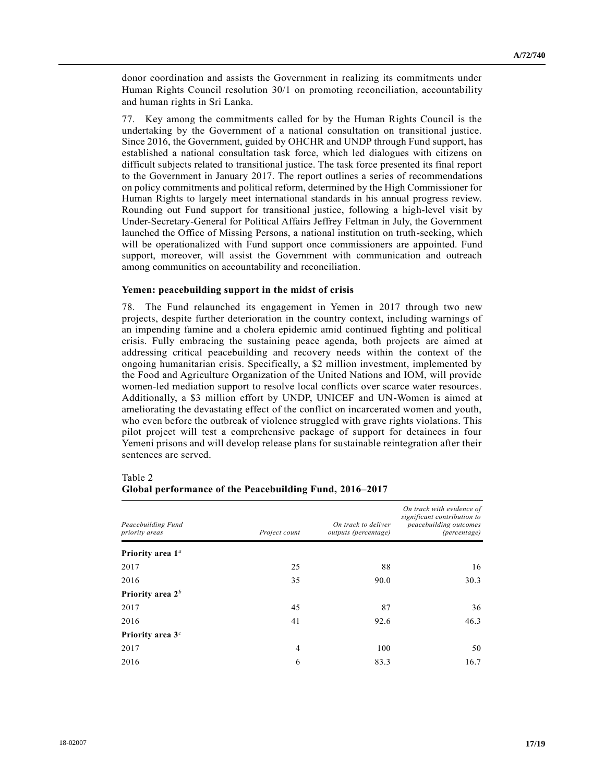donor coordination and assists the Government in realizing its commitments under Human Rights Council resolution 30/1 on promoting reconciliation, accountability and human rights in Sri Lanka.

77. Key among the commitments called for by the Human Rights Council is the undertaking by the Government of a national consultation on transitional justice. Since 2016, the Government, guided by OHCHR and UNDP through Fund support, has established a national consultation task force, which led dialogues with citizens on difficult subjects related to transitional justice. The task force presented its final report to the Government in January 2017. The report outlines a series of recommendations on policy commitments and political reform, determined by the High Commissioner for Human Rights to largely meet international standards in his annual progress review. Rounding out Fund support for transitional justice, following a high-level visit by Under-Secretary-General for Political Affairs Jeffrey Feltman in July, the Government launched the Office of Missing Persons, a national institution on truth-seeking, which will be operationalized with Fund support once commissioners are appointed. Fund support, moreover, will assist the Government with communication and outreach among communities on accountability and reconciliation.

#### **Yemen: peacebuilding support in the midst of crisis**

78. The Fund relaunched its engagement in Yemen in 2017 through two new projects, despite further deterioration in the country context, including warnings of an impending famine and a cholera epidemic amid continued fighting and political crisis. Fully embracing the sustaining peace agenda, both projects are aimed at addressing critical peacebuilding and recovery needs within the context of the ongoing humanitarian crisis. Specifically, a \$2 million investment, implemented by the Food and Agriculture Organization of the United Nations and IOM, will provide women-led mediation support to resolve local conflicts over scarce water resources. Additionally, a \$3 million effort by UNDP, UNICEF and UN-Women is aimed at ameliorating the devastating effect of the conflict on incarcerated women and youth, who even before the outbreak of violence struggled with grave rights violations. This pilot project will test a comprehensive package of support for detainees in four Yemeni prisons and will develop release plans for sustainable reintegration after their sentences are served.

| Peacebuilding Fund<br>priority areas | Project count  | On track to deliver<br>outputs (percentage) | On track with evidence of<br>significant contribution to<br>peacebuilding outcomes<br>(percentage) |
|--------------------------------------|----------------|---------------------------------------------|----------------------------------------------------------------------------------------------------|
| Priority area $1a$                   |                |                                             |                                                                                                    |
| 2017                                 | 25             | 88                                          | 16                                                                                                 |
| 2016                                 | 35             | 90.0                                        | 30.3                                                                                               |
| Priority area 2 <sup>b</sup>         |                |                                             |                                                                                                    |
| 2017                                 | 45             | 87                                          | 36                                                                                                 |
| 2016                                 | 41             | 92.6                                        | 46.3                                                                                               |
| Priority area 3 <sup>c</sup>         |                |                                             |                                                                                                    |
| 2017                                 | $\overline{4}$ | 100                                         | 50                                                                                                 |
| 2016                                 | 6              | 83.3                                        | 16.7                                                                                               |

#### Table 2 **Global performance of the Peacebuilding Fund, 2016–2017**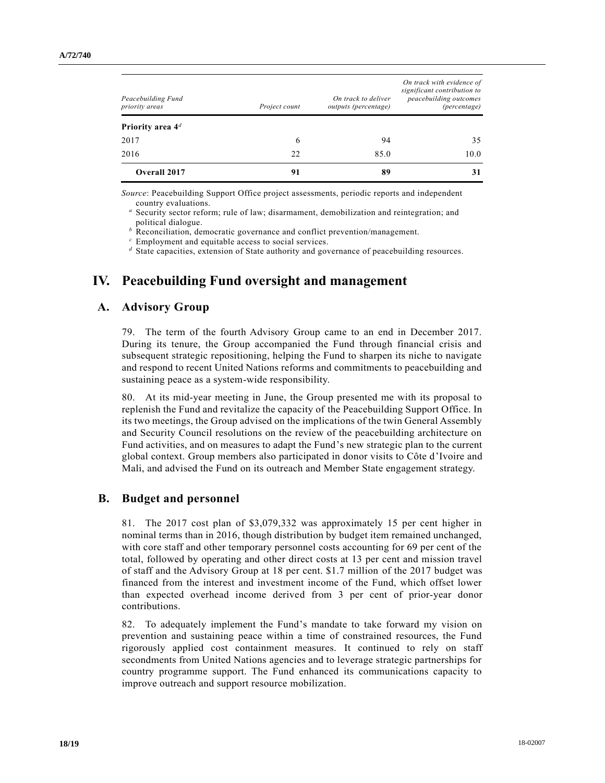| Peacebuilding Fund<br>priority areas<br>Priority area 4 <sup>d</sup> | Project count | On track to deliver<br>outputs (percentage) | significant contribution to<br><i>peacebuilding outcomes</i><br>(percentage) |
|----------------------------------------------------------------------|---------------|---------------------------------------------|------------------------------------------------------------------------------|
| 2017                                                                 | 6             | 94                                          | 35                                                                           |
| 2016                                                                 | 22            | 85.0                                        | 10.0                                                                         |
| Overall 2017                                                         | 91            | 89                                          | 31                                                                           |

*Source*: Peacebuilding Support Office project assessments, periodic reports and independent country evaluations.

*<sup>a</sup>* Security sector reform; rule of law; disarmament, demobilization and reintegration; and political dialogue.

*<sup>b</sup>* Reconciliation, democratic governance and conflict prevention/management.

*<sup>c</sup>* Employment and equitable access to social services.

*<sup>d</sup>* State capacities, extension of State authority and governance of peacebuilding resources.

# **IV. Peacebuilding Fund oversight and management**

## **A. Advisory Group**

79. The term of the fourth Advisory Group came to an end in December 2017. During its tenure, the Group accompanied the Fund through financial crisis and subsequent strategic repositioning, helping the Fund to sharpen its niche to navigate and respond to recent United Nations reforms and commitments to peacebuilding and sustaining peace as a system-wide responsibility.

80. At its mid-year meeting in June, the Group presented me with its proposal to replenish the Fund and revitalize the capacity of the Peacebuilding Support Office. In its two meetings, the Group advised on the implications of the twin General Assembly and Security Council resolutions on the review of the peacebuilding architecture on Fund activities, and on measures to adapt the Fund's new strategic plan to the current global context. Group members also participated in donor visits to Côte d'Ivoire and Mali, and advised the Fund on its outreach and Member State engagement strategy.

### **B. Budget and personnel**

81. The 2017 cost plan of \$3,079,332 was approximately 15 per cent higher in nominal terms than in 2016, though distribution by budget item remained unchanged, with core staff and other temporary personnel costs accounting for 69 per cent of the total, followed by operating and other direct costs at 13 per cent and mission travel of staff and the Advisory Group at 18 per cent. \$1.7 million of the 2017 budget was financed from the interest and investment income of the Fund, which offset lower than expected overhead income derived from 3 per cent of prior-year donor contributions.

82. To adequately implement the Fund's mandate to take forward my vision on prevention and sustaining peace within a time of constrained resources, the Fund rigorously applied cost containment measures. It continued to rely on staff secondments from United Nations agencies and to leverage strategic partnerships for country programme support. The Fund enhanced its communications capacity to improve outreach and support resource mobilization.